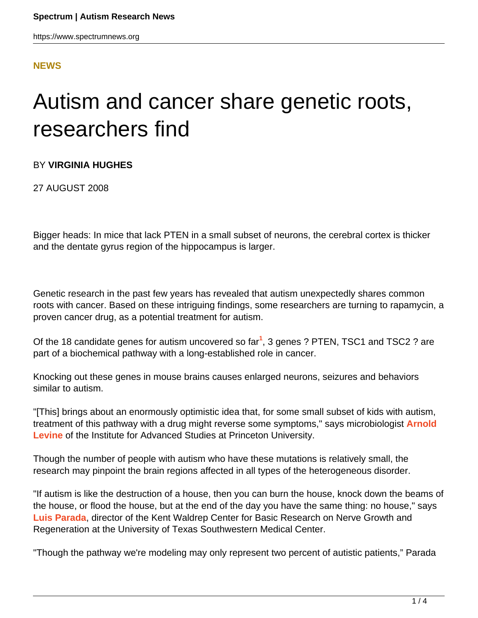### **[NEWS](HTTPS://WWW.SPECTRUMNEWS.ORG/NEWS/)**

# Autism and cancer share genetic roots, researchers find

### BY **VIRGINIA HUGHES**

27 AUGUST 2008

Bigger heads: In mice that lack PTEN in a small subset of neurons, the cerebral cortex is thicker and the dentate gyrus region of the hippocampus is larger.

Genetic research in the past few years has revealed that autism unexpectedly shares common roots with cancer. Based on these intriguing findings, some researchers are turning to rapamycin, a proven cancer drug, as a potential treatment for autism.

Of the 18 candidate genes for autism uncovered so far<sup>1</sup>, 3 genes ? PTEN, TSC1 and TSC2 ? are part of a biochemical pathway with a long-established role in cancer.

Knocking out these genes in mouse brains causes enlarged neurons, seizures and behaviors similar to autism.

"[This] brings about an enormously optimistic idea that, for some small subset of kids with autism, treatment of this pathway with a drug might reverse some symptoms," says microbiologist **[Arnold](http://www.sns.ias.edu/~alevine/) [Levine](http://www.sns.ias.edu/~alevine/)** of the Institute for Advanced Studies at Princeton University.

Though the number of people with autism who have these mutations is relatively small, the research may pinpoint the brain regions affected in all types of the heterogeneous disorder.

"If autism is like the destruction of a house, then you can burn the house, knock down the beams of the house, or flood the house, but at the end of the day you have the same thing: no house," says **[Luis Parada](http://www.utsouthwestern.edu/utsw/cda/dept24916/files/72320.html)**, director of the Kent Waldrep Center for Basic Research on Nerve Growth and Regeneration at the University of Texas Southwestern Medical Center.

"Though the pathway we're modeling may only represent two percent of autistic patients," Parada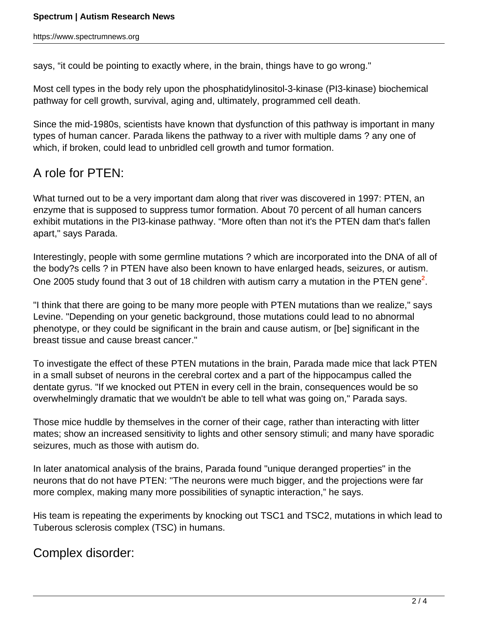says, "it could be pointing to exactly where, in the brain, things have to go wrong."

Most cell types in the body rely upon the phosphatidylinositol-3-kinase (PI3-kinase) biochemical pathway for cell growth, survival, aging and, ultimately, programmed cell death.

Since the mid-1980s, scientists have known that dysfunction of this pathway is important in many types of human cancer. Parada likens the pathway to a river with multiple dams ? any one of which, if broken, could lead to unbridled cell growth and tumor formation.

# A role for PTEN:

What turned out to be a very important dam along that river was discovered in 1997: PTEN, an enzyme that is supposed to suppress tumor formation. About 70 percent of all human cancers exhibit mutations in the PI3-kinase pathway. "More often than not it's the PTEN dam that's fallen apart," says Parada.

Interestingly, people with some germline mutations ? which are incorporated into the DNA of all of the body?s cells ? in PTEN have also been known to have enlarged heads, seizures, or autism. One 2005 study found that 3 out of 18 children with autism carry a mutation in the PTEN gene<sup>2</sup>.

"I think that there are going to be many more people with PTEN mutations than we realize," says Levine. "Depending on your genetic background, those mutations could lead to no abnormal phenotype, or they could be significant in the brain and cause autism, or [be] significant in the breast tissue and cause breast cancer."

To investigate the effect of these PTEN mutations in the brain, Parada made mice that lack PTEN in a small subset of neurons in the cerebral cortex and a part of the hippocampus called the dentate gyrus. "If we knocked out PTEN in every cell in the brain, consequences would be so overwhelmingly dramatic that we wouldn't be able to tell what was going on," Parada says.

Those mice huddle by themselves in the corner of their cage, rather than interacting with litter mates; show an increased sensitivity to lights and other sensory stimuli; and many have sporadic seizures, much as those with autism do.

In later anatomical analysis of the brains, Parada found "unique deranged properties" in the neurons that do not have PTEN: "The neurons were much bigger, and the projections were far more complex, making many more possibilities of synaptic interaction," he says.

His team is repeating the experiments by knocking out TSC1 and TSC2, mutations in which lead to Tuberous sclerosis complex (TSC) in humans.

## Complex disorder: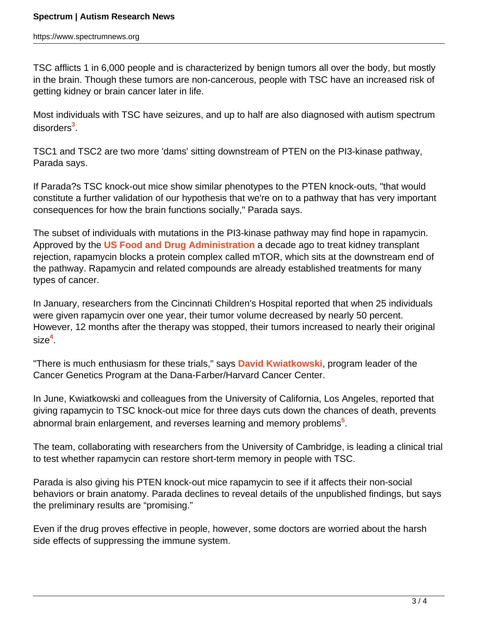TSC afflicts 1 in 6,000 people and is characterized by benign tumors all over the body, but mostly in the brain. Though these tumors are non-cancerous, people with TSC have an increased risk of getting kidney or brain cancer later in life.

Most individuals with TSC have seizures, and up to half are also diagnosed with autism spectrum disorders**<sup>3</sup>** .

TSC1 and TSC2 are two more 'dams' sitting downstream of PTEN on the PI3-kinase pathway, Parada says.

If Parada?s TSC knock-out mice show similar phenotypes to the PTEN knock-outs, "that would constitute a further validation of our hypothesis that we're on to a pathway that has very important consequences for how the brain functions socially," Parada says.

The subset of individuals with mutations in the PI3-kinase pathway may find hope in rapamycin. Approved by the **[US Food and Drug Administration](http://www.fda.gov/)** a decade ago to treat kidney transplant rejection, rapamycin blocks a protein complex called mTOR, which sits at the downstream end of the pathway. Rapamycin and related compounds are already established treatments for many types of cancer.

In January, researchers from the Cincinnati Children's Hospital reported that when 25 individuals were given rapamycin over one year, their tumor volume decreased by nearly 50 percent. However, 12 months after the therapy was stopped, their tumors increased to nearly their original size**<sup>4</sup>** .

"There is much enthusiasm for these trials," says **[David Kwiatkowski](http://physicians.dana-farber.org/directory/profile.asp?dbase=main&setsize=10&last=Kwiatkowski&grouptype_typeid=1&display=Y&nxtfmt=pc&pgt=David+J.+Kwiatkowski%2C+MD%2C+PhD&gs=pc&pict_id=0000244)**, program leader of the Cancer Genetics Program at the Dana-Farber/Harvard Cancer Center.

In June, Kwiatkowski and colleagues from the University of California, Los Angeles, reported that giving rapamycin to TSC knock-out mice for three days cuts down the chances of death, prevents abnormal brain enlargement, and reverses learning and memory problems**<sup>5</sup>** .

The team, collaborating with researchers from the University of Cambridge, is leading a clinical trial to test whether rapamycin can restore short-term memory in people with TSC.

Parada is also giving his PTEN knock-out mice rapamycin to see if it affects their non-social behaviors or brain anatomy. Parada declines to reveal details of the unpublished findings, but says the preliminary results are "promising."

Even if the drug proves effective in people, however, some doctors are worried about the harsh side effects of suppressing the immune system.